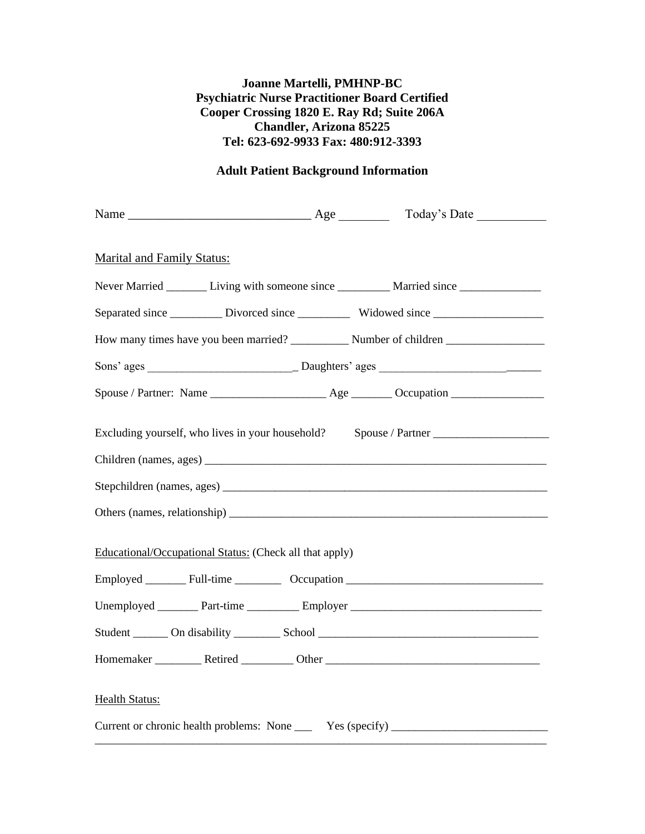## **Joanne Martelli, PMHNP-BC Psychiatric Nurse Practitioner Board Certified Cooper Crossing 1820 E. Ray Rd; Suite 206A Chandler, Arizona 85225 Tel: 623-692-9933 Fax: 480:912-3393**

## **Adult Patient Background Information**

| <b>Marital and Family Status:</b>                                                 |  |  |                                                                                                     |  |  |
|-----------------------------------------------------------------------------------|--|--|-----------------------------------------------------------------------------------------------------|--|--|
|                                                                                   |  |  | Never Married ________ Living with someone since __________ Married since _____________             |  |  |
|                                                                                   |  |  | Separated since ____________ Divorced since ______________ Widowed since __________________________ |  |  |
|                                                                                   |  |  |                                                                                                     |  |  |
|                                                                                   |  |  |                                                                                                     |  |  |
|                                                                                   |  |  |                                                                                                     |  |  |
|                                                                                   |  |  | Excluding yourself, who lives in your household? Spouse / Partner _______________                   |  |  |
|                                                                                   |  |  |                                                                                                     |  |  |
|                                                                                   |  |  |                                                                                                     |  |  |
|                                                                                   |  |  |                                                                                                     |  |  |
| Educational/Occupational Status: (Check all that apply)                           |  |  |                                                                                                     |  |  |
|                                                                                   |  |  |                                                                                                     |  |  |
|                                                                                   |  |  | Unemployed ____________ Part-time _____________ Employer ________________________                   |  |  |
| Student ________ On disability __________ School ________________________________ |  |  |                                                                                                     |  |  |
|                                                                                   |  |  | Homemaker ___________Retired ___________Other ___________________________________                   |  |  |
| <b>Health Status:</b>                                                             |  |  |                                                                                                     |  |  |
| Current or chronic health problems: None ______ Yes (specify) _________           |  |  |                                                                                                     |  |  |

\_\_\_\_\_\_\_\_\_\_\_\_\_\_\_\_\_\_\_\_\_\_\_\_\_\_\_\_\_\_\_\_\_\_\_\_\_\_\_\_\_\_\_\_\_\_\_\_\_\_\_\_\_\_\_\_\_\_\_\_\_\_\_\_\_\_\_\_\_\_\_\_\_\_\_\_\_\_